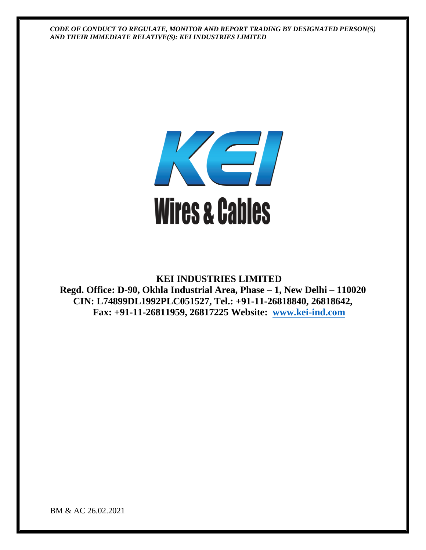

**KEI INDUSTRIES LIMITED Regd. Office: D-90, Okhla Industrial Area, Phase – 1, New Delhi – 110020 CIN: L74899DL1992PLC051527, Tel.: +91-11-26818840, 26818642, Fax: +91-11-26811959, 26817225 Website: [www.kei-ind.com](http://www.kei-ind.com/)**

BM & AC 26.02.2021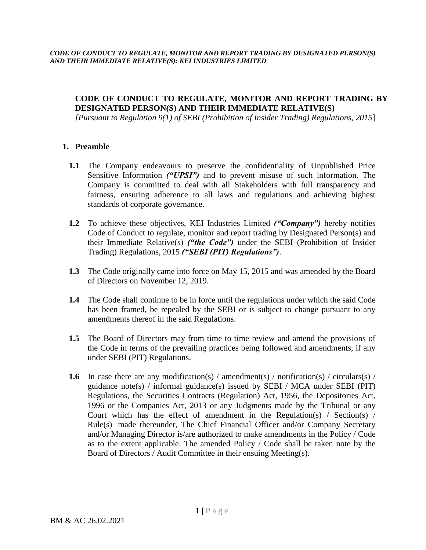*[Pursuant to Regulation 9(1) of SEBI (Prohibition of Insider Trading) Regulations, 2015*]

## **1. Preamble**

- **1.1** The Company endeavours to preserve the confidentiality of Unpublished Price Sensitive Information *("UPSI")* and to prevent misuse of such information. The Company is committed to deal with all Stakeholders with full transparency and fairness, ensuring adherence to all laws and regulations and achieving highest standards of corporate governance.
- **1.2** To achieve these objectives, KEI Industries Limited *("Company")* hereby notifies Code of Conduct to regulate, monitor and report trading by Designated Person(s) and their Immediate Relative(s) *("the Code")* under the SEBI (Prohibition of Insider Trading) Regulations, 2015 *("SEBI (PIT) Regulations")*.
- **1.3** The Code originally came into force on May 15, 2015 and was amended by the Board of Directors on November 12, 2019.
- **1.4** The Code shall continue to be in force until the regulations under which the said Code has been framed, be repealed by the SEBI or is subject to change pursuant to any amendments thereof in the said Regulations.
- **1.5** The Board of Directors may from time to time review and amend the provisions of the Code in terms of the prevailing practices being followed and amendments, if any under SEBI (PIT) Regulations.
- **1.6** In case there are any modification(s) / amendment(s) / notification(s) / circulars(s) / guidance note(s) / informal guidance(s) issued by SEBI / MCA under SEBI (PIT) Regulations, the Securities Contracts (Regulation) Act, 1956, the Depositories Act, 1996 or the Companies Act, 2013 or any Judgments made by the Tribunal or any Court which has the effect of amendment in the Regulation(s) / Section(s)  $/$ Rule(s) made thereunder, The Chief Financial Officer and/or Company Secretary and/or Managing Director is/are authorized to make amendments in the Policy / Code as to the extent applicable. The amended Policy / Code shall be taken note by the Board of Directors / Audit Committee in their ensuing Meeting(s).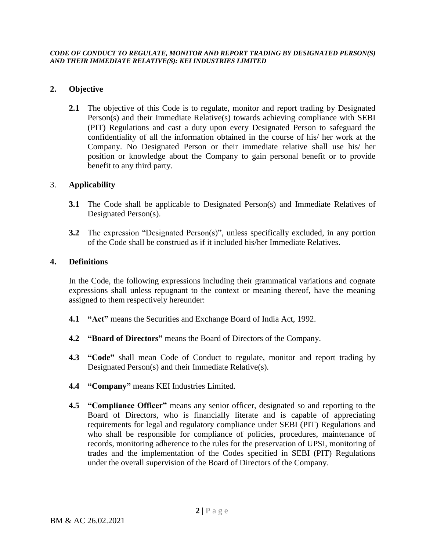## **2. Objective**

**2.1** The objective of this Code is to regulate, monitor and report trading by Designated Person(s) and their Immediate Relative(s) towards achieving compliance with SEBI (PIT) Regulations and cast a duty upon every Designated Person to safeguard the confidentiality of all the information obtained in the course of his/ her work at the Company. No Designated Person or their immediate relative shall use his/ her position or knowledge about the Company to gain personal benefit or to provide benefit to any third party.

## 3. **Applicability**

- **3.1** The Code shall be applicable to Designated Person(s) and Immediate Relatives of Designated Person(s).
- **3.2** The expression "Designated Person(s)", unless specifically excluded, in any portion of the Code shall be construed as if it included his/her Immediate Relatives.

## **4. Definitions**

In the Code, the following expressions including their grammatical variations and cognate expressions shall unless repugnant to the context or meaning thereof, have the meaning assigned to them respectively hereunder:

- **4.1 "Act"** means the Securities and Exchange Board of India Act, 1992.
- **4.2 "Board of Directors"** means the Board of Directors of the Company.
- **4.3 "Code"** shall mean Code of Conduct to regulate, monitor and report trading by Designated Person(s) and their Immediate Relative(s).
- **4.4 "Company"** means KEI Industries Limited.
- **4.5 "Compliance Officer"** means any senior officer, designated so and reporting to the Board of Directors, who is financially literate and is capable of appreciating requirements for legal and regulatory compliance under SEBI (PIT) Regulations and who shall be responsible for compliance of policies, procedures, maintenance of records, monitoring adherence to the rules for the preservation of UPSI, monitoring of trades and the implementation of the Codes specified in SEBI (PIT) Regulations under the overall supervision of the Board of Directors of the Company.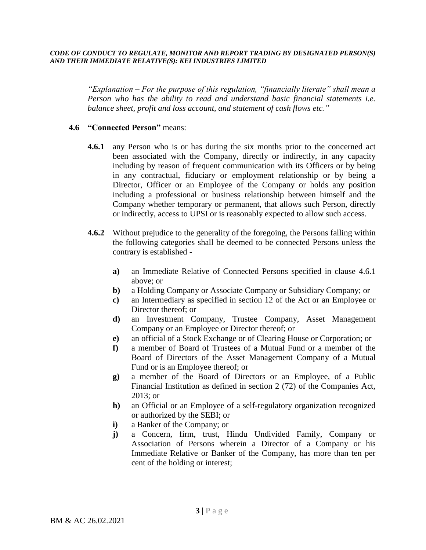*"Explanation – For the purpose of this regulation, "financially literate" shall mean a Person who has the ability to read and understand basic financial statements i.e. balance sheet, profit and loss account, and statement of cash flows etc."*

#### **4.6 "Connected Person"** means:

- **4.6.1** any Person who is or has during the six months prior to the concerned act been associated with the Company, directly or indirectly, in any capacity including by reason of frequent communication with its Officers or by being in any contractual, fiduciary or employment relationship or by being a Director, Officer or an Employee of the Company or holds any position including a professional or business relationship between himself and the Company whether temporary or permanent, that allows such Person, directly or indirectly, access to UPSI or is reasonably expected to allow such access.
- **4.6.2** Without prejudice to the generality of the foregoing, the Persons falling within the following categories shall be deemed to be connected Persons unless the contrary is established
	- **a)** an Immediate Relative of Connected Persons specified in clause 4.6.1 above; or
	- **b)** a Holding Company or Associate Company or Subsidiary Company; or
	- **c)** an Intermediary as specified in section 12 of the Act or an Employee or Director thereof; or
	- **d)** an Investment Company, Trustee Company, Asset Management Company or an Employee or Director thereof; or
	- **e)** an official of a Stock Exchange or of Clearing House or Corporation; or
	- **f)** a member of Board of Trustees of a Mutual Fund or a member of the Board of Directors of the Asset Management Company of a Mutual Fund or is an Employee thereof; or
	- **g)** a member of the Board of Directors or an Employee, of a Public Financial Institution as defined in section 2 (72) of the Companies Act, 2013; or
	- **h)** an Official or an Employee of a self-regulatory organization recognized or authorized by the SEBI; or
	- **i)** a Banker of the Company; or
	- **j)** a Concern, firm, trust, Hindu Undivided Family, Company or Association of Persons wherein a Director of a Company or his Immediate Relative or Banker of the Company, has more than ten per cent of the holding or interest;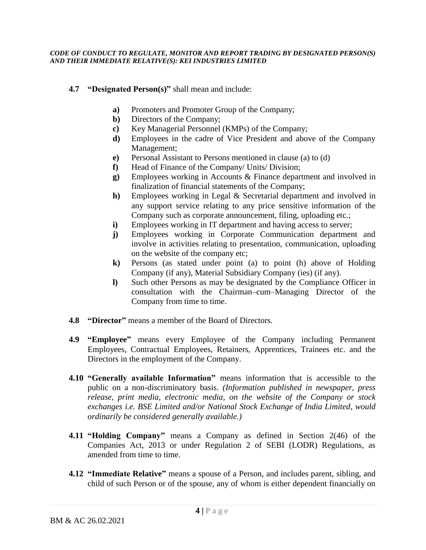- **4.7 "Designated Person(s)"** shall mean and include:
	- **a)** Promoters and Promoter Group of the Company;
	- **b)** Directors of the Company;
	- **c)** Key Managerial Personnel (KMPs) of the Company;
	- **d)** Employees in the cadre of Vice President and above of the Company Management;
	- **e)** Personal Assistant to Persons mentioned in clause (a) to (d)
	- **f)** Head of Finance of the Company/ Units/ Division;
	- **g)** Employees working in Accounts & Finance department and involved in finalization of financial statements of the Company;
	- **h)** Employees working in Legal & Secretarial department and involved in any support service relating to any price sensitive information of the Company such as corporate announcement, filing, uploading etc.;
	- **i**) Employees working in IT department and having access to server;
	- **j)** Employees working in Corporate Communication department and involve in activities relating to presentation, communication, uploading on the website of the company etc;
	- **k)** Persons (as stated under point (a) to point (h) above of Holding Company (if any), Material Subsidiary Company (ies) (if any).
	- **l)** Such other Persons as may be designated by the Compliance Officer in consultation with the Chairman–cum–Managing Director of the Company from time to time.
- **4.8 "Director"** means a member of the Board of Directors.
- **4.9 "Employee"** means every Employee of the Company including Permanent Employees, Contractual Employees, Retainers, Apprentices, Trainees etc. and the Directors in the employment of the Company.
- **4.10 "Generally available Information"** means information that is accessible to the public on a non-discriminatory basis. *(Information published in newspaper, press release, print media, electronic media, on the website of the Company or stock exchanges i.e. BSE Limited and/or National Stock Exchange of India Limited, would ordinarily be considered generally available.)*
- **4.11 "Holding Company"** means a Company as defined in Section 2(46) of the Companies Act, 2013 or under Regulation 2 of SEBI (LODR) Regulations, as amended from time to time.
- **4.12 "Immediate Relative"** means a spouse of a Person, and includes parent, sibling, and child of such Person or of the spouse, any of whom is either dependent financially on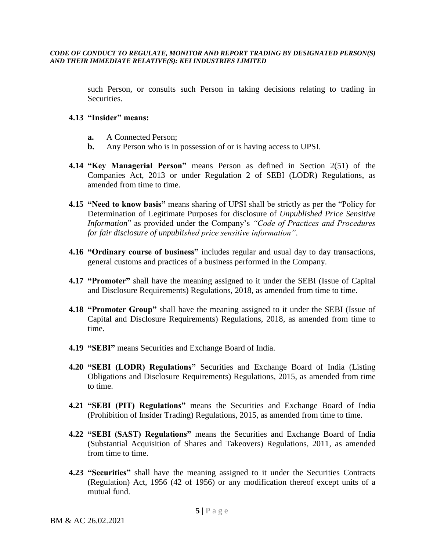such Person, or consults such Person in taking decisions relating to trading in Securities.

### **4.13 "Insider" means:**

- **a.** A Connected Person;
- **b.** Any Person who is in possession of or is having access to UPSI.
- **4.14 "Key Managerial Person"** means Person as defined in Section 2(51) of the Companies Act, 2013 or under Regulation 2 of SEBI (LODR) Regulations, as amended from time to time.
- **4.15 "Need to know basis"** means sharing of UPSI shall be strictly as per the "Policy for Determination of Legitimate Purposes for disclosure of *Unpublished Price Sensitive Information*" as provided under the Company's *"Code of Practices and Procedures for fair disclosure of unpublished price sensitive information"*.
- **4.16 "Ordinary course of business"** includes regular and usual day to day transactions, general customs and practices of a business performed in the Company.
- **4.17 "Promoter"** shall have the meaning assigned to it under the SEBI (Issue of Capital and Disclosure Requirements) Regulations, 2018, as amended from time to time.
- **4.18 "Promoter Group"** shall have the meaning assigned to it under the SEBI (Issue of Capital and Disclosure Requirements) Regulations, 2018, as amended from time to time.
- **4.19 "SEBI"** means Securities and Exchange Board of India.
- **4.20 "SEBI (LODR) Regulations"** Securities and Exchange Board of India (Listing Obligations and Disclosure Requirements) Regulations, 2015, as amended from time to time.
- **4.21 "SEBI (PIT) Regulations"** means the Securities and Exchange Board of India (Prohibition of Insider Trading) Regulations, 2015, as amended from time to time.
- **4.22 "SEBI (SAST) Regulations"** means the Securities and Exchange Board of India (Substantial Acquisition of Shares and Takeovers) Regulations, 2011, as amended from time to time.
- **4.23 "Securities"** shall have the meaning assigned to it under the Securities Contracts (Regulation) Act, 1956 (42 of 1956) or any modification thereof except units of a mutual fund.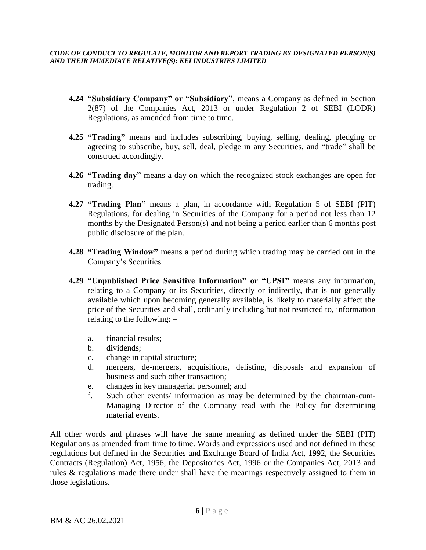- **4.24 "Subsidiary Company" or "Subsidiary"**, means a Company as defined in Section 2(87) of the Companies Act, 2013 or under Regulation 2 of SEBI (LODR) Regulations, as amended from time to time.
- **4.25 "Trading"** means and includes subscribing, buying, selling, dealing, pledging or agreeing to subscribe, buy, sell, deal, pledge in any Securities, and "trade" shall be construed accordingly.
- **4.26 "Trading day"** means a day on which the recognized stock exchanges are open for trading.
- **4.27 "Trading Plan"** means a plan, in accordance with Regulation 5 of SEBI (PIT) Regulations, for dealing in Securities of the Company for a period not less than 12 months by the Designated Person(s) and not being a period earlier than 6 months post public disclosure of the plan.
- **4.28 "Trading Window"** means a period during which trading may be carried out in the Company's Securities.
- **4.29 "Unpublished Price Sensitive Information" or "UPSI"** means any information, relating to a Company or its Securities, directly or indirectly, that is not generally available which upon becoming generally available, is likely to materially affect the price of the Securities and shall, ordinarily including but not restricted to, information relating to the following: –
	- a. financial results;
	- b. dividends;
	- c. change in capital structure;
	- d. mergers, de-mergers, acquisitions, delisting, disposals and expansion of business and such other transaction;
	- e. changes in key managerial personnel; and
	- f. Such other events/ information as may be determined by the chairman-cum-Managing Director of the Company read with the Policy for determining material events.

All other words and phrases will have the same meaning as defined under the SEBI (PIT) Regulations as amended from time to time. Words and expressions used and not defined in these regulations but defined in the Securities and Exchange Board of India Act, 1992, the Securities Contracts (Regulation) Act, 1956, the Depositories Act, 1996 or the Companies Act, 2013 and rules & regulations made there under shall have the meanings respectively assigned to them in those legislations.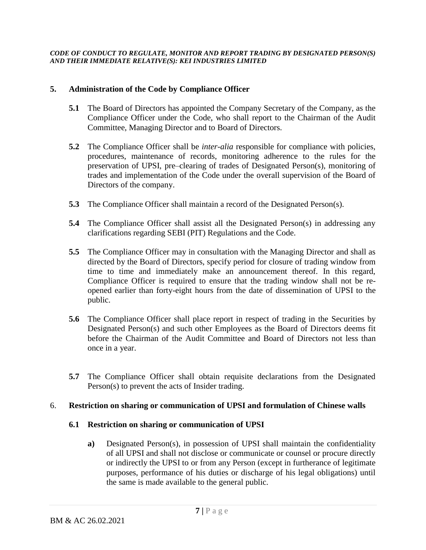### **5. Administration of the Code by Compliance Officer**

- **5.1** The Board of Directors has appointed the Company Secretary of the Company, as the Compliance Officer under the Code, who shall report to the Chairman of the Audit Committee, Managing Director and to Board of Directors.
- **5.2** The Compliance Officer shall be *inter-alia* responsible for compliance with policies, procedures, maintenance of records, monitoring adherence to the rules for the preservation of UPSI, pre–clearing of trades of Designated Person(s), monitoring of trades and implementation of the Code under the overall supervision of the Board of Directors of the company.
- **5.3** The Compliance Officer shall maintain a record of the Designated Person(s).
- **5.4** The Compliance Officer shall assist all the Designated Person(s) in addressing any clarifications regarding SEBI (PIT) Regulations and the Code.
- **5.5** The Compliance Officer may in consultation with the Managing Director and shall as directed by the Board of Directors, specify period for closure of trading window from time to time and immediately make an announcement thereof. In this regard, Compliance Officer is required to ensure that the trading window shall not be reopened earlier than forty-eight hours from the date of dissemination of UPSI to the public.
- **5.6** The Compliance Officer shall place report in respect of trading in the Securities by Designated Person(s) and such other Employees as the Board of Directors deems fit before the Chairman of the Audit Committee and Board of Directors not less than once in a year.
- **5.7** The Compliance Officer shall obtain requisite declarations from the Designated Person(s) to prevent the acts of Insider trading.

### 6. **Restriction on sharing or communication of UPSI and formulation of Chinese walls**

### **6.1 Restriction on sharing or communication of UPSI**

**a)** Designated Person(s), in possession of UPSI shall maintain the confidentiality of all UPSI and shall not disclose or communicate or counsel or procure directly or indirectly the UPSI to or from any Person (except in furtherance of legitimate purposes, performance of his duties or discharge of his legal obligations) until the same is made available to the general public.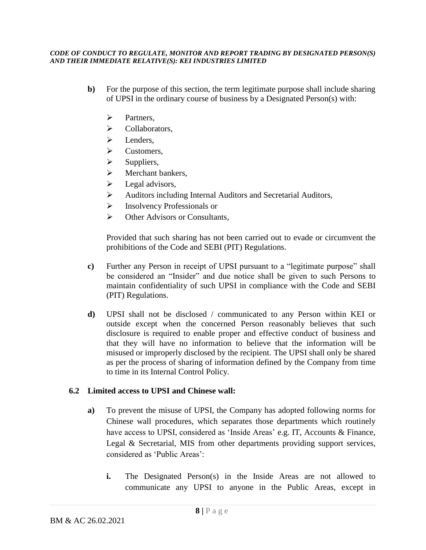- **b**) For the purpose of this section, the term legitimate purpose shall include sharing of UPSI in the ordinary course of business by a Designated Person(s) with:
	- ➢ Partners,
	- ➢ Collaborators,
	- ➢ Lenders,
	- ➢ Customers,
	- $\triangleright$  Suppliers,
	- $\triangleright$  Merchant bankers,
	- $\triangleright$  Legal advisors,
	- ➢ Auditors including Internal Auditors and Secretarial Auditors,
	- ➢ Insolvency Professionals or
	- ➢ Other Advisors or Consultants,

Provided that such sharing has not been carried out to evade or circumvent the prohibitions of the Code and SEBI (PIT) Regulations.

- **c)** Further any Person in receipt of UPSI pursuant to a "legitimate purpose" shall be considered an "Insider" and due notice shall be given to such Persons to maintain confidentiality of such UPSI in compliance with the Code and SEBI (PIT) Regulations.
- **d)** UPSI shall not be disclosed / communicated to any Person within KEI or outside except when the concerned Person reasonably believes that such disclosure is required to enable proper and effective conduct of business and that they will have no information to believe that the information will be misused or improperly disclosed by the recipient. The UPSI shall only be shared as per the process of sharing of information defined by the Company from time to time in its Internal Control Policy.

## **6.2 Limited access to UPSI and Chinese wall:**

- **a)** To prevent the misuse of UPSI, the Company has adopted following norms for Chinese wall procedures, which separates those departments which routinely have access to UPSI, considered as 'Inside Areas' e.g. IT, Accounts & Finance, Legal & Secretarial, MIS from other departments providing support services, considered as 'Public Areas':
	- **i.** The Designated Person(s) in the Inside Areas are not allowed to communicate any UPSI to anyone in the Public Areas, except in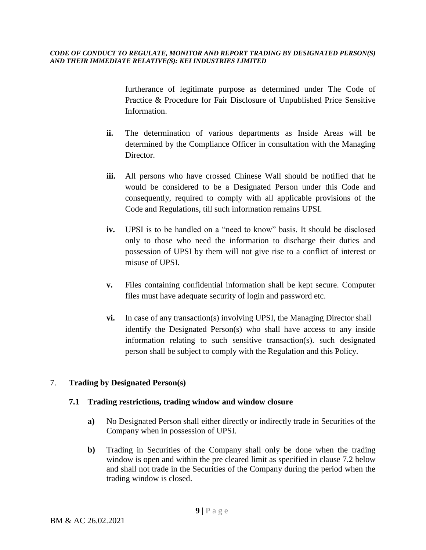furtherance of legitimate purpose as determined under The Code of Practice & Procedure for Fair Disclosure of Unpublished Price Sensitive Information.

- **ii.** The determination of various departments as Inside Areas will be determined by the Compliance Officer in consultation with the Managing Director.
- **iii.** All persons who have crossed Chinese Wall should be notified that he would be considered to be a Designated Person under this Code and consequently, required to comply with all applicable provisions of the Code and Regulations, till such information remains UPSI.
- **iv.** UPSI is to be handled on a "need to know" basis. It should be disclosed only to those who need the information to discharge their duties and possession of UPSI by them will not give rise to a conflict of interest or misuse of UPSI.
- **v.** Files containing confidential information shall be kept secure. Computer files must have adequate security of login and password etc.
- **vi.** In case of any transaction(s) involving UPSI, the Managing Director shall identify the Designated Person(s) who shall have access to any inside information relating to such sensitive transaction(s). such designated person shall be subject to comply with the Regulation and this Policy.

## 7. **Trading by Designated Person(s)**

## **7.1 Trading restrictions, trading window and window closure**

- **a)** No Designated Person shall either directly or indirectly trade in Securities of the Company when in possession of UPSI.
- **b)** Trading in Securities of the Company shall only be done when the trading window is open and within the pre cleared limit as specified in clause 7.2 below and shall not trade in the Securities of the Company during the period when the trading window is closed.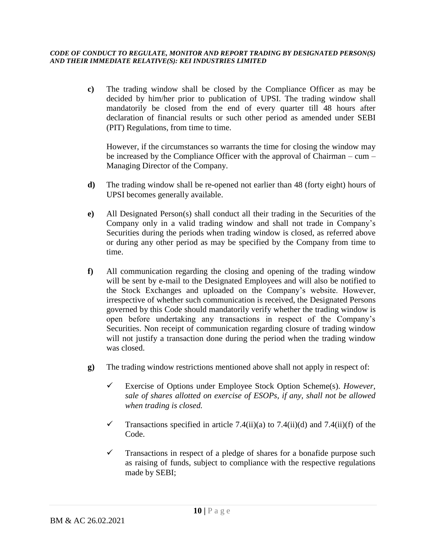**c)** The trading window shall be closed by the Compliance Officer as may be decided by him/her prior to publication of UPSI. The trading window shall mandatorily be closed from the end of every quarter till 48 hours after declaration of financial results or such other period as amended under SEBI (PIT) Regulations, from time to time.

However, if the circumstances so warrants the time for closing the window may be increased by the Compliance Officer with the approval of Chairman – cum – Managing Director of the Company.

- **d)** The trading window shall be re-opened not earlier than 48 (forty eight) hours of UPSI becomes generally available.
- **e)** All Designated Person(s) shall conduct all their trading in the Securities of the Company only in a valid trading window and shall not trade in Company's Securities during the periods when trading window is closed, as referred above or during any other period as may be specified by the Company from time to time.
- **f)** All communication regarding the closing and opening of the trading window will be sent by e-mail to the Designated Employees and will also be notified to the Stock Exchanges and uploaded on the Company's website. However, irrespective of whether such communication is received, the Designated Persons governed by this Code should mandatorily verify whether the trading window is open before undertaking any transactions in respect of the Company's Securities. Non receipt of communication regarding closure of trading window will not justify a transaction done during the period when the trading window was closed.
- **g)** The trading window restrictions mentioned above shall not apply in respect of:
	- ✓ Exercise of Options under Employee Stock Option Scheme(s). *However, sale of shares allotted on exercise of ESOPs, if any, shall not be allowed when trading is closed.*
	- $\checkmark$  Transactions specified in article 7.4(ii)(a) to 7.4(ii)(d) and 7.4(ii)(f) of the Code.
	- $\checkmark$  Transactions in respect of a pledge of shares for a bonafide purpose such as raising of funds, subject to compliance with the respective regulations made by SEBI;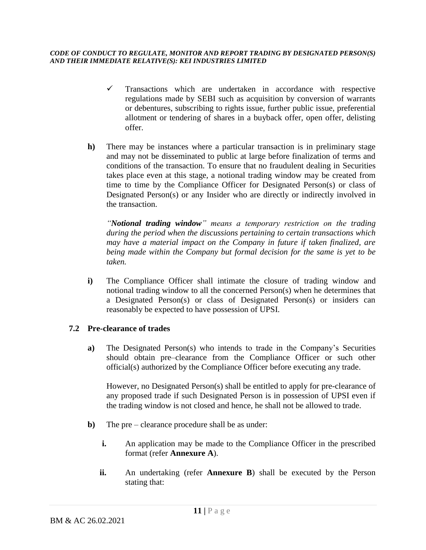- $\checkmark$  Transactions which are undertaken in accordance with respective regulations made by SEBI such as acquisition by conversion of warrants or debentures, subscribing to rights issue, further public issue, preferential allotment or tendering of shares in a buyback offer, open offer, delisting offer.
- **h)** There may be instances where a particular transaction is in preliminary stage and may not be disseminated to public at large before finalization of terms and conditions of the transaction. To ensure that no fraudulent dealing in Securities takes place even at this stage, a notional trading window may be created from time to time by the Compliance Officer for Designated Person(s) or class of Designated Person(s) or any Insider who are directly or indirectly involved in the transaction.

*"Notional trading window" means a temporary restriction on the trading during the period when the discussions pertaining to certain transactions which may have a material impact on the Company in future if taken finalized, are being made within the Company but formal decision for the same is yet to be taken.*

**i)** The Compliance Officer shall intimate the closure of trading window and notional trading window to all the concerned Person(s) when he determines that a Designated Person(s) or class of Designated Person(s) or insiders can reasonably be expected to have possession of UPSI.

## **7.2 Pre-clearance of trades**

**a)** The Designated Person(s) who intends to trade in the Company's Securities should obtain pre–clearance from the Compliance Officer or such other official(s) authorized by the Compliance Officer before executing any trade.

However, no Designated Person(s) shall be entitled to apply for pre-clearance of any proposed trade if such Designated Person is in possession of UPSI even if the trading window is not closed and hence, he shall not be allowed to trade.

- **b)** The pre clearance procedure shall be as under:
	- **i.** An application may be made to the Compliance Officer in the prescribed format (refer **Annexure A**).
	- **ii.** An undertaking (refer **Annexure B**) shall be executed by the Person stating that: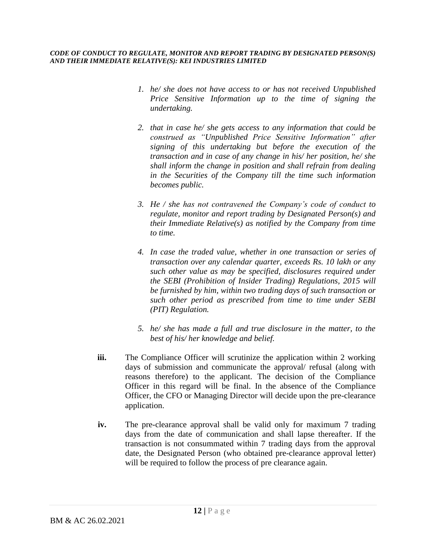- *1. he/ she does not have access to or has not received Unpublished Price Sensitive Information up to the time of signing the undertaking.*
- *2. that in case he/ she gets access to any information that could be construed as "Unpublished Price Sensitive Information" after signing of this undertaking but before the execution of the transaction and in case of any change in his/ her position, he/ she shall inform the change in position and shall refrain from dealing in the Securities of the Company till the time such information becomes public.*
- *3. He / she has not contravened the Company's code of conduct to regulate, monitor and report trading by Designated Person(s) and their Immediate Relative(s) as notified by the Company from time to time.*
- *4. In case the traded value, whether in one transaction or series of transaction over any calendar quarter, exceeds Rs. 10 lakh or any such other value as may be specified, disclosures required under the SEBI (Prohibition of Insider Trading) Regulations, 2015 will be furnished by him, within two trading days of such transaction or such other period as prescribed from time to time under SEBI (PIT) Regulation.*
- *5. he/ she has made a full and true disclosure in the matter, to the best of his/ her knowledge and belief.*
- **iii.** The Compliance Officer will scrutinize the application within 2 working days of submission and communicate the approval/ refusal (along with reasons therefore) to the applicant. The decision of the Compliance Officer in this regard will be final. In the absence of the Compliance Officer, the CFO or Managing Director will decide upon the pre-clearance application.
- **iv.** The pre-clearance approval shall be valid only for maximum 7 trading days from the date of communication and shall lapse thereafter. If the transaction is not consummated within 7 trading days from the approval date, the Designated Person (who obtained pre-clearance approval letter) will be required to follow the process of pre clearance again.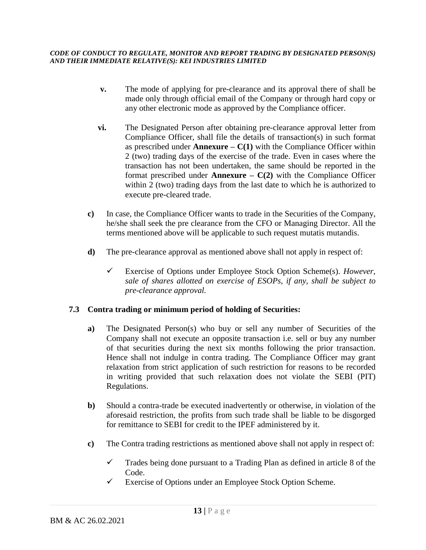- **v.** The mode of applying for pre-clearance and its approval there of shall be made only through official email of the Company or through hard copy or any other electronic mode as approved by the Compliance officer.
- **vi.** The Designated Person after obtaining pre-clearance approval letter from Compliance Officer, shall file the details of transaction(s) in such format as prescribed under **Annexure** –  $C(1)$  with the Compliance Officer within 2 (two) trading days of the exercise of the trade. Even in cases where the transaction has not been undertaken, the same should be reported in the format prescribed under **Annexure**  $- C(2)$  with the Compliance Officer within 2 (two) trading days from the last date to which he is authorized to execute pre-cleared trade.
- **c)** In case, the Compliance Officer wants to trade in the Securities of the Company, he/she shall seek the pre clearance from the CFO or Managing Director. All the terms mentioned above will be applicable to such request mutatis mutandis.
- **d)** The pre-clearance approval as mentioned above shall not apply in respect of:
	- ✓ Exercise of Options under Employee Stock Option Scheme(s). *However, sale of shares allotted on exercise of ESOPs, if any, shall be subject to pre-clearance approval.*

## **7.3 Contra trading or minimum period of holding of Securities:**

- **a)** The Designated Person(s) who buy or sell any number of Securities of the Company shall not execute an opposite transaction i.e. sell or buy any number of that securities during the next six months following the prior transaction. Hence shall not indulge in contra trading. The Compliance Officer may grant relaxation from strict application of such restriction for reasons to be recorded in writing provided that such relaxation does not violate the SEBI (PIT) Regulations.
- **b)** Should a contra-trade be executed inadvertently or otherwise, in violation of the aforesaid restriction, the profits from such trade shall be liable to be disgorged for remittance to SEBI for credit to the IPEF administered by it.
- **c)** The Contra trading restrictions as mentioned above shall not apply in respect of:
	- $\checkmark$  Trades being done pursuant to a Trading Plan as defined in article 8 of the Code.
	- $\checkmark$  Exercise of Options under an Employee Stock Option Scheme.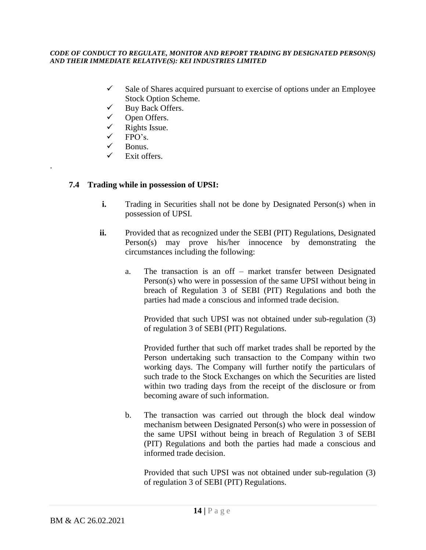- $\checkmark$  Sale of Shares acquired pursuant to exercise of options under an Employee Stock Option Scheme.
- ✓ Buy Back Offers.
- Open Offers.
- $\checkmark$  Rights Issue.
- $FPO's$ .
- $\checkmark$  Bonus.

.

Exit offers.

## **7.4 Trading while in possession of UPSI:**

- **i.** Trading in Securities shall not be done by Designated Person(s) when in possession of UPSI.
- **ii.** Provided that as recognized under the SEBI (PIT) Regulations, Designated Person(s) may prove his/her innocence by demonstrating the circumstances including the following:
	- a. The transaction is an off market transfer between Designated Person(s) who were in possession of the same UPSI without being in breach of Regulation 3 of SEBI (PIT) Regulations and both the parties had made a conscious and informed trade decision.

Provided that such UPSI was not obtained under sub-regulation (3) of regulation 3 of SEBI (PIT) Regulations.

Provided further that such off market trades shall be reported by the Person undertaking such transaction to the Company within two working days. The Company will further notify the particulars of such trade to the Stock Exchanges on which the Securities are listed within two trading days from the receipt of the disclosure or from becoming aware of such information.

b. The transaction was carried out through the block deal window mechanism between Designated Person(s) who were in possession of the same UPSI without being in breach of Regulation 3 of SEBI (PIT) Regulations and both the parties had made a conscious and informed trade decision.

Provided that such UPSI was not obtained under sub-regulation (3) of regulation 3 of SEBI (PIT) Regulations.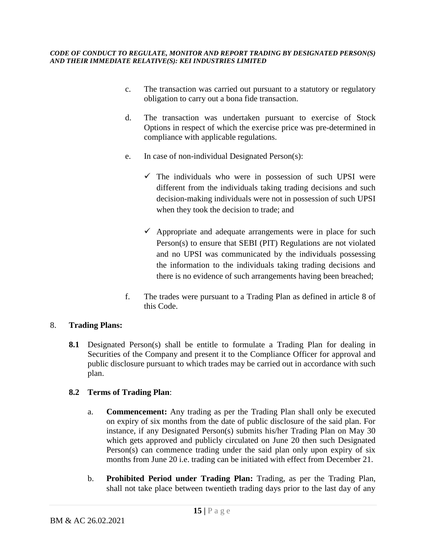- c. The transaction was carried out pursuant to a statutory or regulatory obligation to carry out a bona fide transaction.
- d. The transaction was undertaken pursuant to exercise of Stock Options in respect of which the exercise price was pre-determined in compliance with applicable regulations.
- e. In case of non-individual Designated Person(s):
	- $\checkmark$  The individuals who were in possession of such UPSI were different from the individuals taking trading decisions and such decision-making individuals were not in possession of such UPSI when they took the decision to trade; and
	- $\checkmark$  Appropriate and adequate arrangements were in place for such Person(s) to ensure that SEBI (PIT) Regulations are not violated and no UPSI was communicated by the individuals possessing the information to the individuals taking trading decisions and there is no evidence of such arrangements having been breached;
- f. The trades were pursuant to a Trading Plan as defined in article 8 of this Code.

## 8. **Trading Plans:**

**8.1** Designated Person(s) shall be entitle to formulate a Trading Plan for dealing in Securities of the Company and present it to the Compliance Officer for approval and public disclosure pursuant to which trades may be carried out in accordance with such plan.

## **8.2 Terms of Trading Plan**:

- a. **Commencement:** Any trading as per the Trading Plan shall only be executed on expiry of six months from the date of public disclosure of the said plan. For instance, if any Designated Person(s) submits his/her Trading Plan on May 30 which gets approved and publicly circulated on June 20 then such Designated Person(s) can commence trading under the said plan only upon expiry of six months from June 20 i.e. trading can be initiated with effect from December 21.
- b. **Prohibited Period under Trading Plan:** Trading, as per the Trading Plan, shall not take place between twentieth trading days prior to the last day of any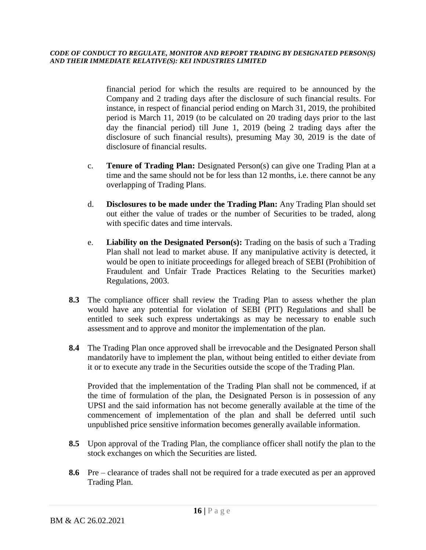financial period for which the results are required to be announced by the Company and 2 trading days after the disclosure of such financial results. For instance, in respect of financial period ending on March 31, 2019, the prohibited period is March 11, 2019 (to be calculated on 20 trading days prior to the last day the financial period) till June 1, 2019 (being 2 trading days after the disclosure of such financial results), presuming May 30, 2019 is the date of disclosure of financial results.

- c. **Tenure of Trading Plan:** Designated Person(s) can give one Trading Plan at a time and the same should not be for less than 12 months, i.e. there cannot be any overlapping of Trading Plans.
- d. **Disclosures to be made under the Trading Plan:** Any Trading Plan should set out either the value of trades or the number of Securities to be traded, along with specific dates and time intervals.
- e. **Liability on the Designated Person(s):** Trading on the basis of such a Trading Plan shall not lead to market abuse. If any manipulative activity is detected, it would be open to initiate proceedings for alleged breach of SEBI (Prohibition of Fraudulent and Unfair Trade Practices Relating to the Securities market) Regulations, 2003.
- **8.3** The compliance officer shall review the Trading Plan to assess whether the plan would have any potential for violation of SEBI (PIT) Regulations and shall be entitled to seek such express undertakings as may be necessary to enable such assessment and to approve and monitor the implementation of the plan.
- **8.4** The Trading Plan once approved shall be irrevocable and the Designated Person shall mandatorily have to implement the plan, without being entitled to either deviate from it or to execute any trade in the Securities outside the scope of the Trading Plan.

Provided that the implementation of the Trading Plan shall not be commenced, if at the time of formulation of the plan, the Designated Person is in possession of any UPSI and the said information has not become generally available at the time of the commencement of implementation of the plan and shall be deferred until such unpublished price sensitive information becomes generally available information.

- **8.5** Upon approval of the Trading Plan, the compliance officer shall notify the plan to the stock exchanges on which the Securities are listed.
- **8.6** Pre clearance of trades shall not be required for a trade executed as per an approved Trading Plan.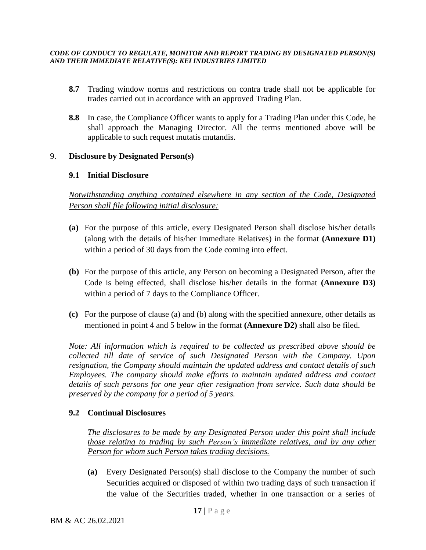- **8.7** Trading window norms and restrictions on contra trade shall not be applicable for trades carried out in accordance with an approved Trading Plan.
- **8.8** In case, the Compliance Officer wants to apply for a Trading Plan under this Code, he shall approach the Managing Director. All the terms mentioned above will be applicable to such request mutatis mutandis.

### 9. **Disclosure by Designated Person(s)**

### **9.1 Initial Disclosure**

*Notwithstanding anything contained elsewhere in any section of the Code, Designated Person shall file following initial disclosure:*

- **(a)** For the purpose of this article, every Designated Person shall disclose his/her details (along with the details of his/her Immediate Relatives) in the format **(Annexure D1)** within a period of 30 days from the Code coming into effect.
- **(b)** For the purpose of this article, any Person on becoming a Designated Person, after the Code is being effected, shall disclose his/her details in the format **(Annexure D3)** within a period of 7 days to the Compliance Officer.
- **(c)** For the purpose of clause (a) and (b) along with the specified annexure, other details as mentioned in point 4 and 5 below in the format **(Annexure D2)** shall also be filed.

*Note: All information which is required to be collected as prescribed above should be collected till date of service of such Designated Person with the Company. Upon resignation, the Company should maintain the updated address and contact details of such Employees. The company should make efforts to maintain updated address and contact details of such persons for one year after resignation from service. Such data should be preserved by the company for a period of 5 years.*

## **9.2 Continual Disclosures**

*The disclosures to be made by any Designated Person under this point shall include those relating to trading by such Person's immediate relatives, and by any other Person for whom such Person takes trading decisions.*

**(a)** Every Designated Person(s) shall disclose to the Company the number of such Securities acquired or disposed of within two trading days of such transaction if the value of the Securities traded, whether in one transaction or a series of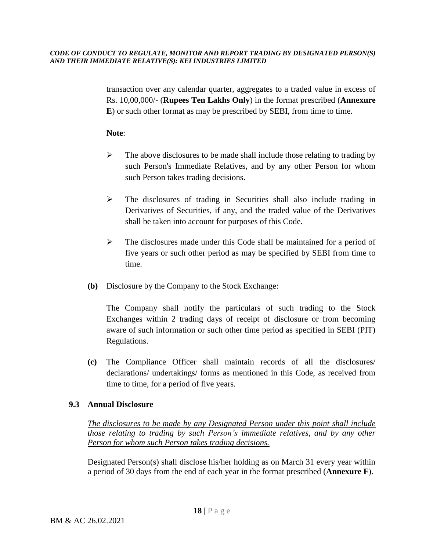transaction over any calendar quarter, aggregates to a traded value in excess of Rs. 10,00,000/- (**Rupees Ten Lakhs Only**) in the format prescribed (**Annexure E**) or such other format as may be prescribed by SEBI, from time to time.

### **Note**:

- $\triangleright$  The above disclosures to be made shall include those relating to trading by such Person's Immediate Relatives, and by any other Person for whom such Person takes trading decisions.
- $\triangleright$  The disclosures of trading in Securities shall also include trading in Derivatives of Securities, if any, and the traded value of the Derivatives shall be taken into account for purposes of this Code.
- $\triangleright$  The disclosures made under this Code shall be maintained for a period of five years or such other period as may be specified by SEBI from time to time.
- **(b)** Disclosure by the Company to the Stock Exchange:

The Company shall notify the particulars of such trading to the Stock Exchanges within 2 trading days of receipt of disclosure or from becoming aware of such information or such other time period as specified in SEBI (PIT) Regulations.

**(c)** The Compliance Officer shall maintain records of all the disclosures/ declarations/ undertakings/ forms as mentioned in this Code, as received from time to time, for a period of five years.

## **9.3 Annual Disclosure**

*The disclosures to be made by any Designated Person under this point shall include those relating to trading by such Person's immediate relatives, and by any other Person for whom such Person takes trading decisions.*

Designated Person(s) shall disclose his/her holding as on March 31 every year within a period of 30 days from the end of each year in the format prescribed (**Annexure F**).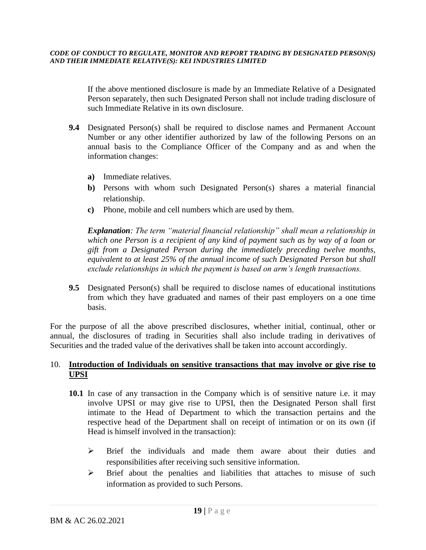If the above mentioned disclosure is made by an Immediate Relative of a Designated Person separately, then such Designated Person shall not include trading disclosure of such Immediate Relative in its own disclosure.

- **9.4** Designated Person(s) shall be required to disclose names and Permanent Account Number or any other identifier authorized by law of the following Persons on an annual basis to the Compliance Officer of the Company and as and when the information changes:
	- **a)** Immediate relatives.
	- **b)** Persons with whom such Designated Person(s) shares a material financial relationship.
	- **c)** Phone, mobile and cell numbers which are used by them.

*Explanation: The term "material financial relationship" shall mean a relationship in which one Person is a recipient of any kind of payment such as by way of a loan or gift from a Designated Person during the immediately preceding twelve months, equivalent to at least 25% of the annual income of such Designated Person but shall exclude relationships in which the payment is based on arm's length transactions.*

**9.5** Designated Person(s) shall be required to disclose names of educational institutions from which they have graduated and names of their past employers on a one time basis.

For the purpose of all the above prescribed disclosures, whether initial, continual, other or annual, the disclosures of trading in Securities shall also include trading in derivatives of Securities and the traded value of the derivatives shall be taken into account accordingly*.*

## 10. **Introduction of Individuals on sensitive transactions that may involve or give rise to UPSI**

- **10.1** In case of any transaction in the Company which is of sensitive nature i.e. it may involve UPSI or may give rise to UPSI, then the Designated Person shall first intimate to the Head of Department to which the transaction pertains and the respective head of the Department shall on receipt of intimation or on its own (if Head is himself involved in the transaction):
	- ➢ Brief the individuals and made them aware about their duties and responsibilities after receiving such sensitive information.
	- ➢ Brief about the penalties and liabilities that attaches to misuse of such information as provided to such Persons.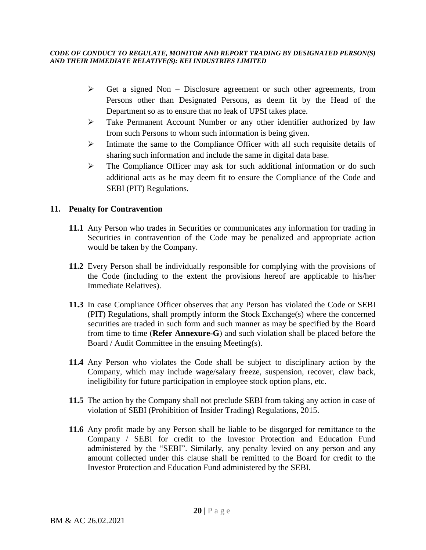- $\triangleright$  Get a signed Non Disclosure agreement or such other agreements, from Persons other than Designated Persons, as deem fit by the Head of the Department so as to ensure that no leak of UPSI takes place.
- ➢ Take Permanent Account Number or any other identifier authorized by law from such Persons to whom such information is being given.
- ➢ Intimate the same to the Compliance Officer with all such requisite details of sharing such information and include the same in digital data base.
- ➢ The Compliance Officer may ask for such additional information or do such additional acts as he may deem fit to ensure the Compliance of the Code and SEBI (PIT) Regulations.

## **11. Penalty for Contravention**

- **11.1** Any Person who trades in Securities or communicates any information for trading in Securities in contravention of the Code may be penalized and appropriate action would be taken by the Company.
- **11.2** Every Person shall be individually responsible for complying with the provisions of the Code (including to the extent the provisions hereof are applicable to his/her Immediate Relatives).
- **11.3** In case Compliance Officer observes that any Person has violated the Code or SEBI (PIT) Regulations, shall promptly inform the Stock Exchange(s) where the concerned securities are traded in such form and such manner as may be specified by the Board from time to time (**Refer Annexure-G**) and such violation shall be placed before the Board / Audit Committee in the ensuing Meeting(s).
- **11.4** Any Person who violates the Code shall be subject to disciplinary action by the Company, which may include wage/salary freeze, suspension, recover, claw back, ineligibility for future participation in employee stock option plans, etc.
- **11.5** The action by the Company shall not preclude SEBI from taking any action in case of violation of SEBI (Prohibition of Insider Trading) Regulations, 2015.
- **11.6** Any profit made by any Person shall be liable to be disgorged for remittance to the Company / SEBI for credit to the Investor Protection and Education Fund administered by the "SEBI". Similarly, any penalty levied on any person and any amount collected under this clause shall be remitted to the Board for credit to the Investor Protection and Education Fund administered by the SEBI.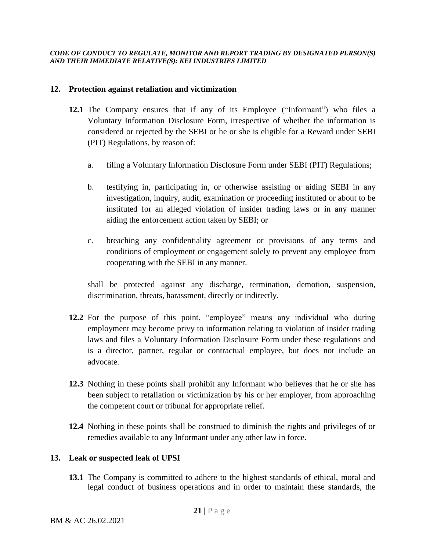### **12. Protection against retaliation and victimization**

- **12.1** The Company ensures that if any of its Employee ("Informant") who files a Voluntary Information Disclosure Form, irrespective of whether the information is considered or rejected by the SEBI or he or she is eligible for a Reward under SEBI (PIT) Regulations, by reason of:
	- a. filing a Voluntary Information Disclosure Form under SEBI (PIT) Regulations;
	- b. testifying in, participating in, or otherwise assisting or aiding SEBI in any investigation, inquiry, audit, examination or proceeding instituted or about to be instituted for an alleged violation of insider trading laws or in any manner aiding the enforcement action taken by SEBI; or
	- c. breaching any confidentiality agreement or provisions of any terms and conditions of employment or engagement solely to prevent any employee from cooperating with the SEBI in any manner.

shall be protected against any discharge, termination, demotion, suspension, discrimination, threats, harassment, directly or indirectly.

- **12.2** For the purpose of this point, "employee" means any individual who during employment may become privy to information relating to violation of insider trading laws and files a Voluntary Information Disclosure Form under these regulations and is a director, partner, regular or contractual employee, but does not include an advocate.
- **12.3** Nothing in these points shall prohibit any Informant who believes that he or she has been subject to retaliation or victimization by his or her employer, from approaching the competent court or tribunal for appropriate relief.
- **12.4** Nothing in these points shall be construed to diminish the rights and privileges of or remedies available to any Informant under any other law in force.

## **13. Leak or suspected leak of UPSI**

**13.1** The Company is committed to adhere to the highest standards of ethical, moral and legal conduct of business operations and in order to maintain these standards, the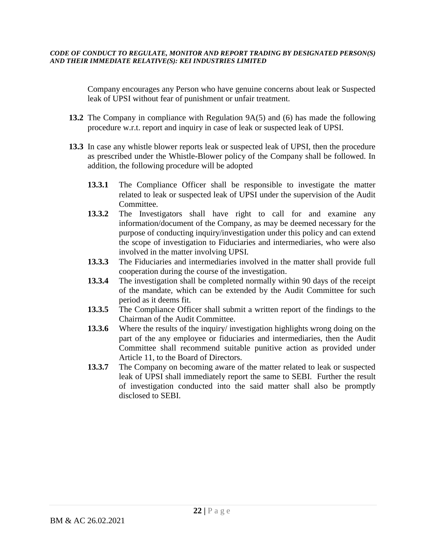Company encourages any Person who have genuine concerns about leak or Suspected leak of UPSI without fear of punishment or unfair treatment.

- **13.2** The Company in compliance with Regulation 9A(5) and (6) has made the following procedure w.r.t. report and inquiry in case of leak or suspected leak of UPSI.
- **13.3** In case any whistle blower reports leak or suspected leak of UPSI, then the procedure as prescribed under the Whistle-Blower policy of the Company shall be followed. In addition, the following procedure will be adopted
	- **13.3.1** The Compliance Officer shall be responsible to investigate the matter related to leak or suspected leak of UPSI under the supervision of the Audit Committee.
	- **13.3.2** The Investigators shall have right to call for and examine any information/document of the Company, as may be deemed necessary for the purpose of conducting inquiry/investigation under this policy and can extend the scope of investigation to Fiduciaries and intermediaries, who were also involved in the matter involving UPSI.
	- **13.3.3** The Fiduciaries and intermediaries involved in the matter shall provide full cooperation during the course of the investigation.
	- **13.3.4** The investigation shall be completed normally within 90 days of the receipt of the mandate, which can be extended by the Audit Committee for such period as it deems fit.
	- **13.3.5** The Compliance Officer shall submit a written report of the findings to the Chairman of the Audit Committee.
	- **13.3.6** Where the results of the inquiry/ investigation highlights wrong doing on the part of the any employee or fiduciaries and intermediaries, then the Audit Committee shall recommend suitable punitive action as provided under Article 11, to the Board of Directors.
	- **13.3.7** The Company on becoming aware of the matter related to leak or suspected leak of UPSI shall immediately report the same to SEBI. Further the result of investigation conducted into the said matter shall also be promptly disclosed to SEBI.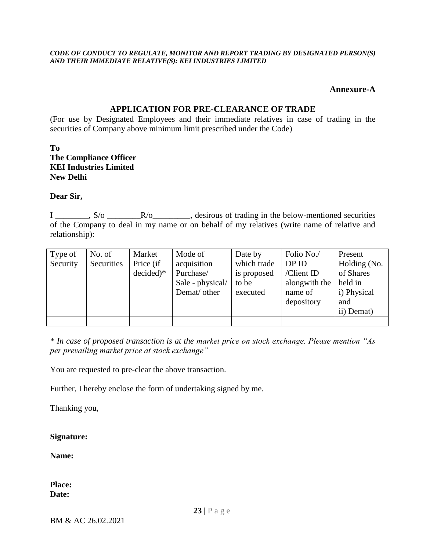### **Annexure-A**

### **APPLICATION FOR PRE-CLEARANCE OF TRADE**

(For use by Designated Employees and their immediate relatives in case of trading in the securities of Company above minimum limit prescribed under the Code)

### **To The Compliance Officer KEI Industries Limited New Delhi**

### **Dear Sir,**

I \_\_\_\_\_\_\_, S/o \_\_\_\_\_\_\_\_\_\_\_\_\_\_\_\_\_\_\_\_, desirous of trading in the below-mentioned securities of the Company to deal in my name or on behalf of my relatives (write name of relative and relationship):

| Type of<br>Security | No. of<br>Securities | Market<br>Price (if<br>$decided)*$ | Mode of<br>acquisition<br>Purchase/<br>Sale - physical/<br>Demat/ other | Date by<br>which trade<br>is proposed<br>to be<br>executed | Folio No./<br>DPID<br>/Client ID<br>alongwith the<br>name of<br>depository | Present<br>Holding (No.<br>of Shares<br>held in<br>i) Physical<br>and<br>ii) Demat) |
|---------------------|----------------------|------------------------------------|-------------------------------------------------------------------------|------------------------------------------------------------|----------------------------------------------------------------------------|-------------------------------------------------------------------------------------|
|                     |                      |                                    |                                                                         |                                                            |                                                                            |                                                                                     |

*\* In case of proposed transaction is at the market price on stock exchange. Please mention "As per prevailing market price at stock exchange"*

You are requested to pre-clear the above transaction.

Further, I hereby enclose the form of undertaking signed by me.

Thanking you,

### **Signature:**

**Name:**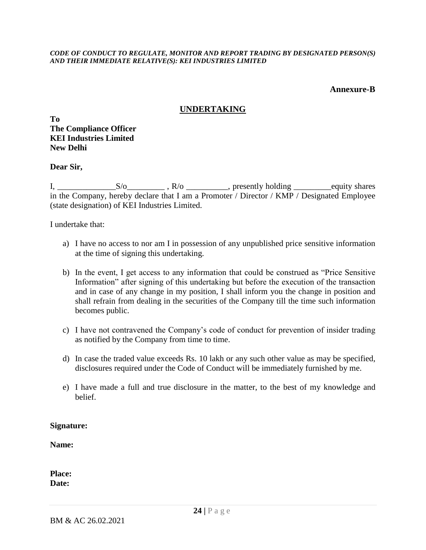### **Annexure-B**

# **UNDERTAKING**

**To The Compliance Officer KEI Industries Limited New Delhi**

**Dear Sir,**

I, \_\_\_\_\_\_\_\_\_\_\_\_\_\_S/o\_\_\_\_\_\_\_\_\_ , R/o \_\_\_\_\_\_\_\_\_\_, presently holding \_\_\_\_\_\_\_\_\_equity shares in the Company, hereby declare that I am a Promoter / Director / KMP / Designated Employee (state designation) of KEI Industries Limited.

I undertake that:

- a) I have no access to nor am I in possession of any unpublished price sensitive information at the time of signing this undertaking.
- b) In the event, I get access to any information that could be construed as "Price Sensitive Information" after signing of this undertaking but before the execution of the transaction and in case of any change in my position, I shall inform you the change in position and shall refrain from dealing in the securities of the Company till the time such information becomes public.
- c) I have not contravened the Company's code of conduct for prevention of insider trading as notified by the Company from time to time.
- d) In case the traded value exceeds Rs. 10 lakh or any such other value as may be specified, disclosures required under the Code of Conduct will be immediately furnished by me.
- e) I have made a full and true disclosure in the matter, to the best of my knowledge and belief.

### **Signature:**

**Name:**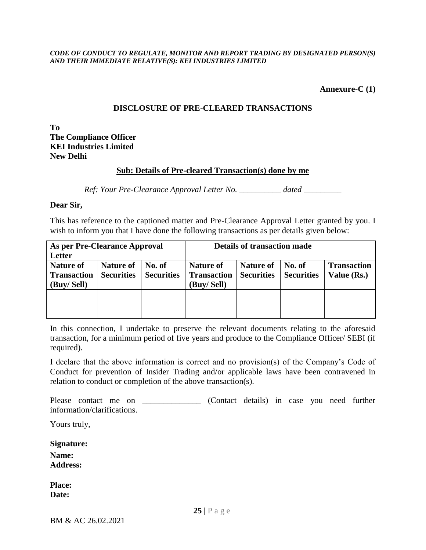### **Annexure-C (1)**

### **DISCLOSURE OF PRE-CLEARED TRANSACTIONS**

**To The Compliance Officer KEI Industries Limited New Delhi**

### **Sub: Details of Pre-cleared Transaction(s) done by me**

*Ref: Your Pre-Clearance Approval Letter No. \_\_\_\_\_\_\_\_\_\_ dated \_\_\_\_\_\_\_\_\_*

#### **Dear Sir,**

This has reference to the captioned matter and Pre-Clearance Approval Letter granted by you. I wish to inform you that I have done the following transactions as per details given below:

| As per Pre-Clearance Approval |                   |                   | <b>Details of transaction made</b> |                   |                   |                    |  |  |
|-------------------------------|-------------------|-------------------|------------------------------------|-------------------|-------------------|--------------------|--|--|
| Letter                        |                   |                   |                                    |                   |                   |                    |  |  |
| <b>Nature of</b>              | <b>Nature of</b>  | No. of            | <b>Nature of</b>                   | <b>Nature of</b>  | No. of            | <b>Transaction</b> |  |  |
| <b>Transaction</b>            | <b>Securities</b> | <b>Securities</b> | <b>Transaction</b>                 | <b>Securities</b> | <b>Securities</b> | Value (Rs.)        |  |  |
| (Buy/Sell)                    |                   |                   | (Buy/ Sell)                        |                   |                   |                    |  |  |
|                               |                   |                   |                                    |                   |                   |                    |  |  |
|                               |                   |                   |                                    |                   |                   |                    |  |  |
|                               |                   |                   |                                    |                   |                   |                    |  |  |

In this connection, I undertake to preserve the relevant documents relating to the aforesaid transaction, for a minimum period of five years and produce to the Compliance Officer/ SEBI (if required).

I declare that the above information is correct and no provision(s) of the Company's Code of Conduct for prevention of Insider Trading and/or applicable laws have been contravened in relation to conduct or completion of the above transaction(s).

Please contact me on \_\_\_\_\_\_\_\_\_\_\_\_\_ (Contact details) in case you need further information/clarifications.

Yours truly,

**Signature:**

**Name: Address:**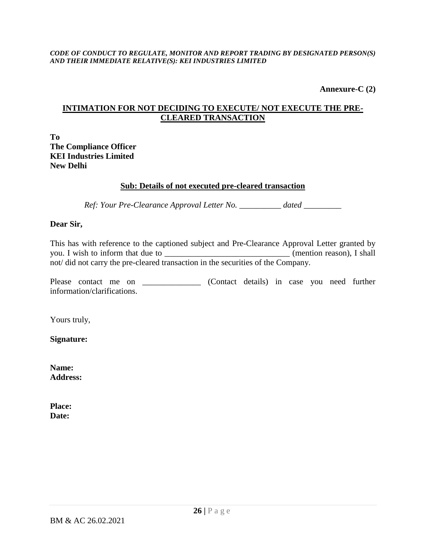**Annexure-C (2)**

# **INTIMATION FOR NOT DECIDING TO EXECUTE/ NOT EXECUTE THE PRE-CLEARED TRANSACTION**

**To The Compliance Officer KEI Industries Limited New Delhi**

# **Sub: Details of not executed pre-cleared transaction**

*Ref: Your Pre-Clearance Approval Letter No. \_\_\_\_\_\_\_\_\_\_ dated \_\_\_\_\_\_\_\_\_*

## **Dear Sir,**

This has with reference to the captioned subject and Pre-Clearance Approval Letter granted by you. I wish to inform that due to \_\_\_\_\_\_\_\_\_\_\_\_\_\_\_\_\_\_\_\_\_\_\_\_\_\_\_\_\_\_\_\_\_\_ (mention reason), I shall not/ did not carry the pre-cleared transaction in the securities of the Company.

Please contact me on \_\_\_\_\_\_\_\_\_\_\_\_\_ (Contact details) in case you need further information/clarifications.

Yours truly,

**Signature:**

**Name: Address:**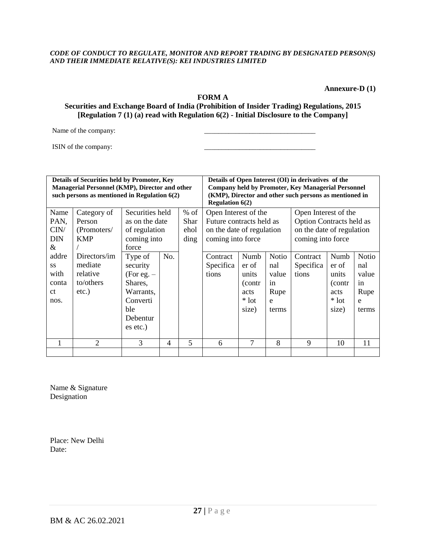**Annexure-D (1)**

#### **FORM A**

#### **Securities and Exchange Board of India (Prohibition of Insider Trading) Regulations, 2015 [Regulation 7 (1) (a) read with Regulation 6(2) - Initial Disclosure to the Company]**

Name of the company:

ISIN of the company:

| Details of Securities held by Promoter, Key<br>Managerial Personnel (KMP), Director and other |                                                |                     |     |        | Details of Open Interest (OI) in derivatives of the                                                                 |               |                     |                           |               |              |  |
|-----------------------------------------------------------------------------------------------|------------------------------------------------|---------------------|-----|--------|---------------------------------------------------------------------------------------------------------------------|---------------|---------------------|---------------------------|---------------|--------------|--|
|                                                                                               | such persons as mentioned in Regulation $6(2)$ |                     |     |        | <b>Company held by Promoter, Key Managerial Personnel</b><br>(KMP), Director and other such persons as mentioned in |               |                     |                           |               |              |  |
| Name                                                                                          | Category of                                    | Securities held     |     | $%$ of | <b>Regulation <math>6(2)</math></b><br>Open Interest of the                                                         |               |                     | Open Interest of the      |               |              |  |
| PAN,                                                                                          | Person                                         | as on the date      |     | Shar   | Future contracts held as                                                                                            |               |                     | Option Contracts held as  |               |              |  |
| CIN/                                                                                          | (Promoters/                                    | of regulation       |     | ehol   | on the date of regulation                                                                                           |               |                     | on the date of regulation |               |              |  |
| <b>DIN</b>                                                                                    | <b>KMP</b>                                     | coming into         |     | ding   | coming into force                                                                                                   |               |                     | coming into force         |               |              |  |
| &                                                                                             |                                                | force               |     |        |                                                                                                                     |               |                     |                           |               |              |  |
| addre<br>SS                                                                                   | Directors/im<br>mediate                        | Type of<br>security | No. |        | Contract<br>Specifica                                                                                               | Numb<br>er of | <b>Notio</b><br>nal | Contract<br>Specifica     | Numb<br>er of | Notio<br>nal |  |
| with                                                                                          | relative                                       | $(For e.g. -$       |     |        | tions                                                                                                               | units         | value               | tions                     | units         | value        |  |
| conta                                                                                         | to/others                                      | Shares,             |     |        |                                                                                                                     | (contr        | in                  |                           | (contr        | in           |  |
| ct                                                                                            | $etc.$ )                                       | Warrants,           |     |        |                                                                                                                     | acts          | Rupe                |                           | acts          | Rupe         |  |
| nos.                                                                                          |                                                | Converti            |     |        |                                                                                                                     | $*$ lot       | e                   |                           | $*$ lot       | e            |  |
|                                                                                               |                                                | ble<br>Debentur     |     |        |                                                                                                                     | size)         | terms               |                           | size)         | terms        |  |
|                                                                                               |                                                | es etc.)            |     |        |                                                                                                                     |               |                     |                           |               |              |  |
|                                                                                               |                                                |                     |     |        |                                                                                                                     |               |                     |                           |               |              |  |
| 1                                                                                             | $\overline{2}$                                 | 3                   | 4   | 5      | 6                                                                                                                   | $\tau$        | 8                   | 9                         | 10            | 11           |  |
|                                                                                               |                                                |                     |     |        |                                                                                                                     |               |                     |                           |               |              |  |

Name & Signature Designation

Place: New Delhi Date: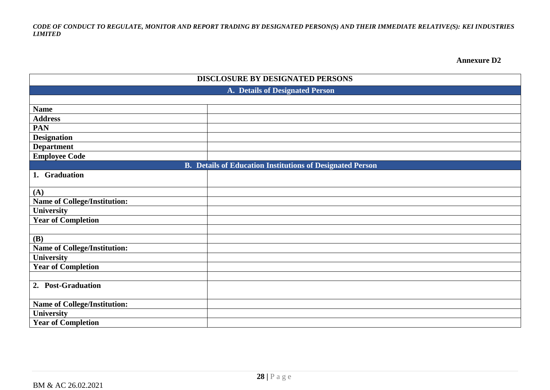**Annexure D2**

| DISCLOSURE BY DESIGNATED PERSONS    |                                                                  |  |  |  |  |
|-------------------------------------|------------------------------------------------------------------|--|--|--|--|
| A. Details of Designated Person     |                                                                  |  |  |  |  |
|                                     |                                                                  |  |  |  |  |
| <b>Name</b>                         |                                                                  |  |  |  |  |
| <b>Address</b>                      |                                                                  |  |  |  |  |
| <b>PAN</b>                          |                                                                  |  |  |  |  |
| <b>Designation</b>                  |                                                                  |  |  |  |  |
| <b>Department</b>                   |                                                                  |  |  |  |  |
| <b>Employee Code</b>                |                                                                  |  |  |  |  |
|                                     | <b>B.</b> Details of Education Institutions of Designated Person |  |  |  |  |
| 1. Graduation                       |                                                                  |  |  |  |  |
| (A)                                 |                                                                  |  |  |  |  |
| <b>Name of College/Institution:</b> |                                                                  |  |  |  |  |
| <b>University</b>                   |                                                                  |  |  |  |  |
| <b>Year of Completion</b>           |                                                                  |  |  |  |  |
|                                     |                                                                  |  |  |  |  |
| <b>(B)</b>                          |                                                                  |  |  |  |  |
| <b>Name of College/Institution:</b> |                                                                  |  |  |  |  |
| <b>University</b>                   |                                                                  |  |  |  |  |
| <b>Year of Completion</b>           |                                                                  |  |  |  |  |
|                                     |                                                                  |  |  |  |  |
| 2. Post-Graduation                  |                                                                  |  |  |  |  |
| <b>Name of College/Institution:</b> |                                                                  |  |  |  |  |
| <b>University</b>                   |                                                                  |  |  |  |  |
| <b>Year of Completion</b>           |                                                                  |  |  |  |  |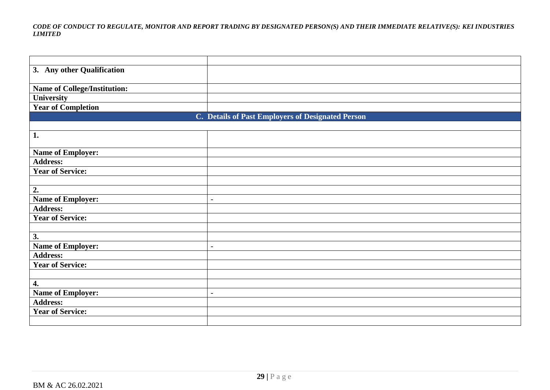| 3. Any other Qualification          |                                                   |
|-------------------------------------|---------------------------------------------------|
|                                     |                                                   |
| <b>Name of College/Institution:</b> |                                                   |
| University                          |                                                   |
| <b>Year of Completion</b>           |                                                   |
|                                     | C. Details of Past Employers of Designated Person |
|                                     |                                                   |
| 1.                                  |                                                   |
|                                     |                                                   |
| <b>Name of Employer:</b>            |                                                   |
| <b>Address:</b>                     |                                                   |
| <b>Year of Service:</b>             |                                                   |
|                                     |                                                   |
| 2.                                  |                                                   |
| <b>Name of Employer:</b>            | $\qquad \qquad -$                                 |
| <b>Address:</b>                     |                                                   |
| <b>Year of Service:</b>             |                                                   |
|                                     |                                                   |
| 3.                                  |                                                   |
| <b>Name of Employer:</b>            | $\overline{\phantom{a}}$                          |
| <b>Address:</b>                     |                                                   |
| <b>Year of Service:</b>             |                                                   |
|                                     |                                                   |
| 4.                                  |                                                   |
| <b>Name of Employer:</b>            | $\overline{\phantom{a}}$                          |
| <b>Address:</b>                     |                                                   |
| <b>Year of Service:</b>             |                                                   |
|                                     |                                                   |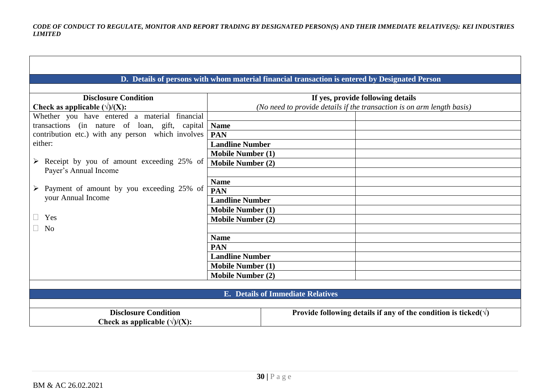|                                                            |                          | D. Details of persons with whom material financial transaction is entered by Designated Person |  |  |  |  |
|------------------------------------------------------------|--------------------------|------------------------------------------------------------------------------------------------|--|--|--|--|
|                                                            |                          |                                                                                                |  |  |  |  |
| <b>Disclosure Condition</b>                                |                          | If yes, provide following details                                                              |  |  |  |  |
| Check as applicable $(\sqrt{1/(X)})$ :                     |                          | (No need to provide details if the transaction is on arm length basis)                         |  |  |  |  |
| Whether you have entered a material financial              |                          |                                                                                                |  |  |  |  |
| transactions (in nature of loan, gift, capital             | <b>Name</b>              |                                                                                                |  |  |  |  |
| contribution etc.) with any person which involves          | <b>PAN</b>               |                                                                                                |  |  |  |  |
| either:                                                    | <b>Landline Number</b>   |                                                                                                |  |  |  |  |
|                                                            | <b>Mobile Number (1)</b> |                                                                                                |  |  |  |  |
| $\triangleright$ Receipt by you of amount exceeding 25% of | <b>Mobile Number (2)</b> |                                                                                                |  |  |  |  |
| Payer's Annual Income                                      |                          |                                                                                                |  |  |  |  |
|                                                            | <b>Name</b>              |                                                                                                |  |  |  |  |
| $\triangleright$ Payment of amount by you exceeding 25% of | PAN                      |                                                                                                |  |  |  |  |
| your Annual Income                                         | <b>Landline Number</b>   |                                                                                                |  |  |  |  |
|                                                            | <b>Mobile Number (1)</b> |                                                                                                |  |  |  |  |
| Yes                                                        | <b>Mobile Number (2)</b> |                                                                                                |  |  |  |  |
| $\Box$<br>N <sub>0</sub>                                   |                          |                                                                                                |  |  |  |  |
|                                                            | <b>Name</b>              |                                                                                                |  |  |  |  |
|                                                            | <b>PAN</b>               |                                                                                                |  |  |  |  |
|                                                            | <b>Landline Number</b>   |                                                                                                |  |  |  |  |
|                                                            | <b>Mobile Number (1)</b> |                                                                                                |  |  |  |  |
|                                                            | <b>Mobile Number (2)</b> |                                                                                                |  |  |  |  |
|                                                            |                          |                                                                                                |  |  |  |  |
|                                                            |                          | <b>E.</b> Details of Immediate Relatives                                                       |  |  |  |  |
|                                                            |                          |                                                                                                |  |  |  |  |
| <b>Disclosure Condition</b>                                |                          | Provide following details if any of the condition is ticked( $\sqrt{ }$ )                      |  |  |  |  |
| Check as applicable $(\sqrt{1}/(X))$ :                     |                          |                                                                                                |  |  |  |  |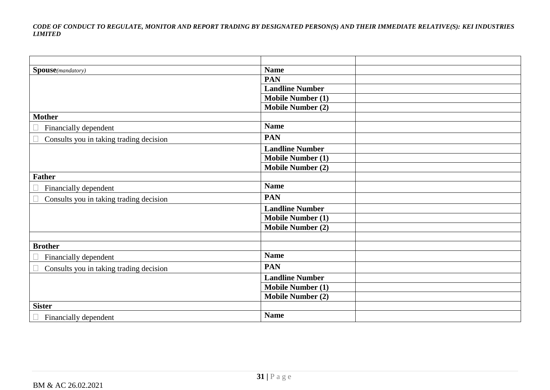| Spouse(mandatory)                       | <b>Name</b>              |  |
|-----------------------------------------|--------------------------|--|
|                                         | <b>PAN</b>               |  |
|                                         | <b>Landline Number</b>   |  |
|                                         | <b>Mobile Number (1)</b> |  |
|                                         | <b>Mobile Number (2)</b> |  |
| <b>Mother</b>                           |                          |  |
| Financially dependent                   | <b>Name</b>              |  |
| Consults you in taking trading decision | <b>PAN</b>               |  |
|                                         | <b>Landline Number</b>   |  |
|                                         | <b>Mobile Number (1)</b> |  |
|                                         | <b>Mobile Number (2)</b> |  |
| <b>Father</b>                           |                          |  |
| Financially dependent                   | <b>Name</b>              |  |
| Consults you in taking trading decision | <b>PAN</b>               |  |
|                                         | <b>Landline Number</b>   |  |
|                                         | <b>Mobile Number (1)</b> |  |
|                                         | <b>Mobile Number (2)</b> |  |
|                                         |                          |  |
| <b>Brother</b>                          |                          |  |
| Financially dependent                   | <b>Name</b>              |  |
| Consults you in taking trading decision | <b>PAN</b>               |  |
|                                         | <b>Landline Number</b>   |  |
|                                         | <b>Mobile Number (1)</b> |  |
|                                         | <b>Mobile Number (2)</b> |  |
| <b>Sister</b>                           |                          |  |
| Financially dependent                   | <b>Name</b>              |  |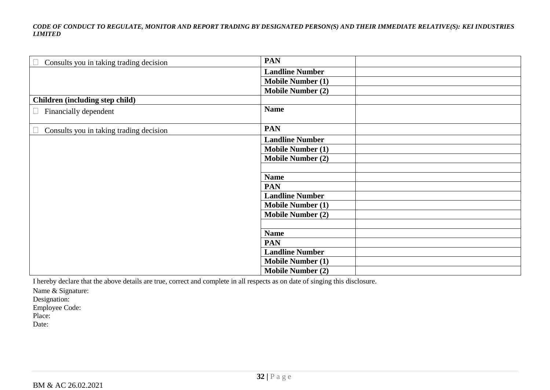| Consults you in taking trading decision | <b>PAN</b>               |
|-----------------------------------------|--------------------------|
|                                         | <b>Landline Number</b>   |
|                                         | <b>Mobile Number (1)</b> |
|                                         | <b>Mobile Number (2)</b> |
| Children (including step child)         |                          |
| Financially dependent<br>$\Box$         | <b>Name</b>              |
| Consults you in taking trading decision | <b>PAN</b>               |
|                                         | <b>Landline Number</b>   |
|                                         | <b>Mobile Number (1)</b> |
|                                         | <b>Mobile Number (2)</b> |
|                                         |                          |
|                                         | <b>Name</b>              |
|                                         | <b>PAN</b>               |
|                                         | <b>Landline Number</b>   |
|                                         | <b>Mobile Number (1)</b> |
|                                         | <b>Mobile Number (2)</b> |
|                                         |                          |
|                                         | <b>Name</b>              |
|                                         | <b>PAN</b>               |
|                                         | <b>Landline Number</b>   |
|                                         | <b>Mobile Number (1)</b> |
|                                         | <b>Mobile Number (2)</b> |

I hereby declare that the above details are true, correct and complete in all respects as on date of singing this disclosure.

Name & Signature:

Designation:

Employee Code:

Place:

Date: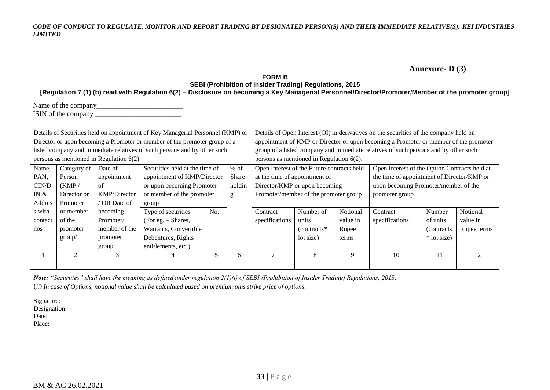### **Annexure- D (3)**

### **FORM B SEBI (Prohibition of Insider Trading) Regulations, 2015**

**[Regulation 7 (1) (b) read with Regulation 6(2) – Disclosure on becoming a Key Managerial Personnel/Director/Promoter/Member of the promoter group]**

| Name of the company |  |
|---------------------|--|
| ISIN of the company |  |

| Details of Securities held on appointment of Key Managerial Personnel (KMP) or |                |                                             | Details of Open Interest (OI) in derivatives on the securities of the company held on |                                                                                      |        |                                       |                                             |          |                                                                                     |             |             |  |
|--------------------------------------------------------------------------------|----------------|---------------------------------------------|---------------------------------------------------------------------------------------|--------------------------------------------------------------------------------------|--------|---------------------------------------|---------------------------------------------|----------|-------------------------------------------------------------------------------------|-------------|-------------|--|
| Director or upon becoming a Promoter or member of the promoter group of a      |                |                                             |                                                                                       | appointment of KMP or Director or upon becoming a Promoter or member of the promoter |        |                                       |                                             |          |                                                                                     |             |             |  |
|                                                                                |                |                                             | listed company and immediate relatives of such persons and by other such              |                                                                                      |        |                                       |                                             |          | group of a listed company and immediate relatives of such persons and by other such |             |             |  |
|                                                                                |                | persons as mentioned in Regulation $6(2)$ . |                                                                                       |                                                                                      |        |                                       | persons as mentioned in Regulation $6(2)$ . |          |                                                                                     |             |             |  |
| Name,                                                                          | Category of    | Date of                                     | Securities held at the time of                                                        |                                                                                      | $%$ of |                                       | Open Interest of the Future contracts held  |          | Open Interest of the Option Contracts held at                                       |             |             |  |
| PAN,                                                                           | Person         | appointment                                 | appointment of KMP/Director                                                           |                                                                                      | Share  | at the time of appointment of         |                                             |          | the time of appointment of Director/KMP or                                          |             |             |  |
| CIN/D                                                                          | (KMP)          | of                                          | or upon becoming Promoter                                                             |                                                                                      | holdin |                                       | Director/KMP or upon becoming               |          | upon becoming Promoter/member of the                                                |             |             |  |
| IN $\&$                                                                        | Director or    | <b>KMP/Director</b>                         | or member of the promoter                                                             |                                                                                      | g      | Promoter/member of the promoter group |                                             |          | promoter group                                                                      |             |             |  |
| Addres                                                                         | Promoter       | OR Date of                                  | group                                                                                 |                                                                                      |        |                                       |                                             |          |                                                                                     |             |             |  |
| s with                                                                         | or member      | becoming                                    | Type of securities                                                                    | No.                                                                                  |        | Contract                              | Number of                                   | Notional | Contract                                                                            | Number      | Notional    |  |
| contact                                                                        | of the         | Promoter/                                   | (For eg. $-$ Shares,                                                                  |                                                                                      |        | specifications                        | units                                       | value in | specifications                                                                      | of units    | value in    |  |
| nos                                                                            | promoter       | member of the                               | Warrants, Convertible                                                                 |                                                                                      |        |                                       | $(contrast^*$                               | Rupee    |                                                                                     | (contracts) | Rupee terms |  |
|                                                                                | group/         | promoter                                    | Debentures, Rights                                                                    |                                                                                      |        |                                       | lot size)                                   | terms    |                                                                                     | * lot size) |             |  |
|                                                                                |                | group                                       | entitlements, etc.)                                                                   |                                                                                      |        |                                       |                                             |          |                                                                                     |             |             |  |
|                                                                                | $\mathfrak{D}$ | 3                                           | 4                                                                                     | 5                                                                                    | 6      | $\overline{ }$                        | 8                                           | 9        | 10                                                                                  | 11          | 12          |  |
|                                                                                |                |                                             |                                                                                       |                                                                                      |        |                                       |                                             |          |                                                                                     |             |             |  |

*Note: "Securities" shall have the meaning as defined under regulation 2(1)(i) of SEBI (Prohibition of Insider Trading) Regulations, 2015.* (*ii) In case of Options, notional value shall be calculated based on premium plus strike price of options.*

Signature:

Designation:

Date:

Place: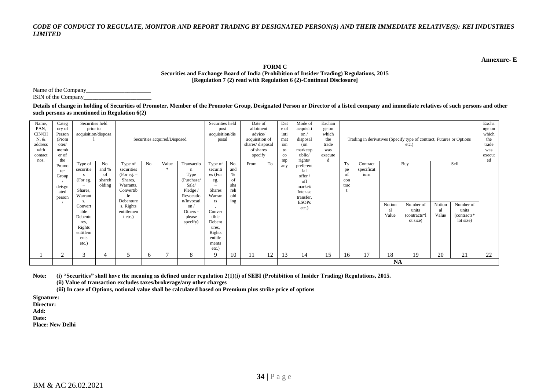**Annexure- E**

#### **FORM C Securities and Exchange Board of India (Prohibition of Insider Trading) Regulations, 2015**

**[Regulation 7 (2) read with Regulation 6 (2)-Continual Disclosure]**

Name of the Company\_ ISIN of the Company**\_\_\_\_\_\_\_\_\_\_\_\_\_\_\_\_\_\_\_\_\_\_\_**

**Details of change in holding of Securities of Promoter, Member of the Promoter Group, Designated Person or Director of a listed company and immediate relatives of such persons and other such persons as mentioned in Regulation 6(2)**

| Name,   | Categ          | Securities held          |              |                         |     |                              |                    | Securities held                 |             | Date of         |    | Dat         | Mode of      | Exchan  |             |            |           |                                                                      |        |               | Excha  |
|---------|----------------|--------------------------|--------------|-------------------------|-----|------------------------------|--------------------|---------------------------------|-------------|-----------------|----|-------------|--------------|---------|-------------|------------|-----------|----------------------------------------------------------------------|--------|---------------|--------|
| PAN,    | ory of         | prior to                 |              |                         |     |                              |                    | post                            |             | allotment       |    | e of        | acquisiti    | ge on   |             |            |           |                                                                      |        |               | nge on |
| CIN/DI  | Person         | acquisition/disposa      |              |                         |     |                              |                    | acquisition/dis                 |             | advice/         |    | inti        | $\alpha$     | which   |             |            |           |                                                                      |        |               | which  |
| $N, \&$ | (Prom          |                          |              |                         |     | Securities acquired/Disposed |                    | posal                           |             | acquisition of  |    | mat         | disposal     | the     |             |            |           | Trading in derivatives (Specify type of contract, Futures or Options |        |               | the    |
| address | oter/          |                          |              |                         |     |                              |                    |                                 |             | shares/disposal |    | ion         | (on          | trade   |             |            |           | etc.)                                                                |        |               | trade  |
| with    | memb           |                          |              |                         |     |                              |                    |                                 |             | of shares       |    | to          | market/p     | was     |             |            |           |                                                                      |        |               | was    |
| contact | er of          |                          |              |                         |     |                              |                    |                                 |             | specify         |    | $_{\rm co}$ | ublic/       | execute |             |            |           |                                                                      |        |               | execut |
| nos.    | the            |                          |              |                         |     |                              |                    |                                 |             |                 |    | mp          | rights/      | d       |             |            |           |                                                                      |        |               | ed     |
|         | Promo          | Type of                  | No.          | Type of                 | No. | Value                        | Transactio         | Type of                         | No.         | From            | To | any         | preferent    |         | Ty          | Contract   |           | Buy                                                                  |        | Sell          |        |
|         | ter            | securitie                | and %        | securities              |     |                              | n                  | securiti                        | and<br>$\%$ |                 |    |             | ial          |         | pe          | specificat |           |                                                                      |        |               |        |
|         | Group          | (For eg.                 | οf<br>shareh | (For eg. $-$<br>Shares, |     |                              | Type<br>(Purchase/ | es (For                         | of          |                 |    |             | offer /      |         | of          | ions       |           |                                                                      |        |               |        |
|         |                | $\overline{\phantom{a}}$ | olding       | Warrants.               |     |                              | Sale/              | eg.<br>$\overline{\phantom{0}}$ | sha         |                 |    |             | off          |         | con<br>trac |            |           |                                                                      |        |               |        |
|         | deisgn         | Shares,                  |              | Convertib               |     |                              | Pledge /           | <b>Shares</b>                   | reh         |                 |    |             | market/      |         |             |            |           |                                                                      |        |               |        |
|         | ated           | Warrant                  |              | le                      |     |                              | Revocatio          | Warran                          | old         |                 |    |             | Inter-se     |         |             |            |           |                                                                      |        |               |        |
|         | person         | s,                       |              | Debenture               |     |                              | n/Invocati         | ts                              | ing         |                 |    |             | transfer.    |         |             |            |           |                                                                      |        |               |        |
|         |                | Convert                  |              | s, Rights               |     |                              | on/                |                                 |             |                 |    |             | <b>ESOPs</b> |         |             |            | Notion    | Number of                                                            | Notion | Number of     |        |
|         |                | ible                     |              | entitlemen              |     |                              | Others -           | Conver                          |             |                 |    |             | $etc.$ )     |         |             |            | al        | units                                                                | al     | units         |        |
|         |                | Debentu                  |              | t etc.)                 |     |                              | please             | tible                           |             |                 |    |             |              |         |             |            | Value     | (contracts*1)                                                        | Value  | $(contrast*)$ |        |
|         |                | res,                     |              |                         |     |                              | specify)           | Debent                          |             |                 |    |             |              |         |             |            |           | ot size)                                                             |        | lot size)     |        |
|         |                | Rights                   |              |                         |     |                              |                    | ures.                           |             |                 |    |             |              |         |             |            |           |                                                                      |        |               |        |
|         |                | entitlem                 |              |                         |     |                              |                    | Rights                          |             |                 |    |             |              |         |             |            |           |                                                                      |        |               |        |
|         |                | ents                     |              |                         |     |                              |                    | entitle                         |             |                 |    |             |              |         |             |            |           |                                                                      |        |               |        |
|         |                | etc.)                    |              |                         |     |                              |                    | ments                           |             |                 |    |             |              |         |             |            |           |                                                                      |        |               |        |
|         |                |                          |              |                         |     |                              |                    | etc.)                           |             |                 |    |             |              |         |             |            |           |                                                                      |        |               |        |
|         | $\overline{2}$ | 3                        |              |                         | 6   |                              | 8                  | 9                               | 10          |                 | 12 | 13          | 14           | 15      | 16          | 17         | 18        | 19                                                                   | 20     | 21            | 22     |
|         |                |                          |              |                         |     |                              |                    |                                 |             |                 |    |             |              |         |             |            | <b>NA</b> |                                                                      |        |               |        |

**Note: (i) "Securities" shall have the meaning as defined under regulation 2(1)(i) of SEBI (Prohibition of Insider Trading) Regulations, 2015.**

**(ii) Value of transaction excludes taxes/brokerage/any other charges**

**(iii) In case of Options, notional value shall be calculated based on Premium plus strike price of options**

**Signature:**

**Director:**

**Add:**

**Date:**

**Place: New Delhi**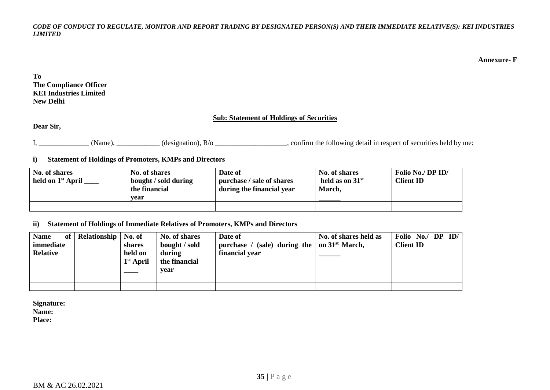**Annexure- F**

**To The Compliance Officer KEI Industries Limited New Delhi**

### **Sub: Statement of Holdings of Securities**

**Dear Sir,**

I, \_\_\_\_\_\_\_\_\_\_\_\_\_\_\_(Name), \_\_\_\_\_\_\_\_\_\_(designation), R/o \_\_\_\_\_\_\_\_\_\_\_\_\_\_\_\_\_, confirm the following detail in respect of securities held by me:

**i) Statement of Holdings of Promoters, KMPs and Directors**

| No. of shares<br>held on 1 <sup>st</sup> April | No. of shares<br>bought / sold during<br>the financial<br>vear | Date of<br>purchase / sale of shares<br>during the financial year | No. of shares<br>held as on $31st$<br>March, | Folio No./ DP ID/<br><b>Client ID</b> |
|------------------------------------------------|----------------------------------------------------------------|-------------------------------------------------------------------|----------------------------------------------|---------------------------------------|
|                                                |                                                                |                                                                   |                                              |                                       |

#### **ii) Statement of Holdings of Immediate Relatives of Promoters, KMPs and Directors**

| <b>Name</b><br>of 1<br>immediate<br><b>Relative</b> | Relationship   No. of | shares<br>held on<br>$1st$ April | No. of shares<br>bought / sold<br>during<br>the financial<br>vear | Date of<br>purchase / (sale) during the $ $ on 31 <sup>st</sup> March,<br>financial year | No. of shares held as | Folio No./ DP ID/<br><b>Client ID</b> |
|-----------------------------------------------------|-----------------------|----------------------------------|-------------------------------------------------------------------|------------------------------------------------------------------------------------------|-----------------------|---------------------------------------|
|                                                     |                       |                                  |                                                                   |                                                                                          |                       |                                       |

**Signature: Name:**

**Place:**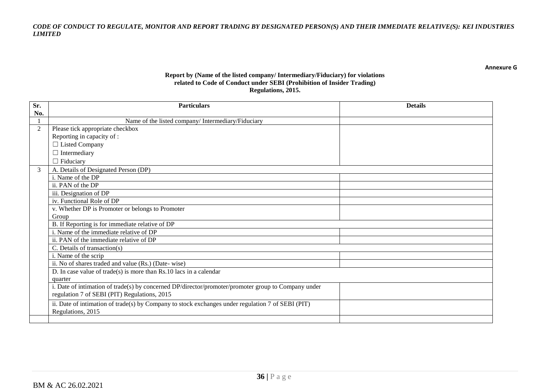**Annexure G**

#### **Report by (Name of the listed company/ Intermediary/Fiduciary) for violations related to Code of Conduct under SEBI (Prohibition of Insider Trading) Regulations, 2015.**

| Sr. | <b>Particulars</b>                                                                                  | <b>Details</b> |
|-----|-----------------------------------------------------------------------------------------------------|----------------|
| No. |                                                                                                     |                |
|     | Name of the listed company/Intermediary/Fiduciary                                                   |                |
| 2   | Please tick appropriate checkbox                                                                    |                |
|     | Reporting in capacity of :                                                                          |                |
|     | $\Box$ Listed Company                                                                               |                |
|     | $\Box$ Intermediary                                                                                 |                |
|     | $\Box$ Fiduciary                                                                                    |                |
| 3   | A. Details of Designated Person (DP)                                                                |                |
|     | i. Name of the DP                                                                                   |                |
|     | ii. PAN of the DP                                                                                   |                |
|     | iii. Designation of DP                                                                              |                |
|     | iv. Functional Role of DP                                                                           |                |
|     | v. Whether DP is Promoter or belongs to Promoter                                                    |                |
|     | Group                                                                                               |                |
|     | B. If Reporting is for immediate relative of DP                                                     |                |
|     | i. Name of the immediate relative of DP                                                             |                |
|     | ii. PAN of the immediate relative of DP                                                             |                |
|     | C. Details of transaction(s)                                                                        |                |
|     | i. Name of the scrip                                                                                |                |
|     | ii. No of shares traded and value (Rs.) (Date-wise)                                                 |                |
|     | D. In case value of trade(s) is more than $Rs.10$ lacs in a calendar                                |                |
|     | quarter                                                                                             |                |
|     | i. Date of intimation of trade(s) by concerned DP/director/promoter/promoter group to Company under |                |
|     | regulation 7 of SEBI (PIT) Regulations, 2015                                                        |                |
|     | ii. Date of intimation of trade(s) by Company to stock exchanges under regulation 7 of SEBI (PIT)   |                |
|     | Regulations, 2015                                                                                   |                |
|     |                                                                                                     |                |